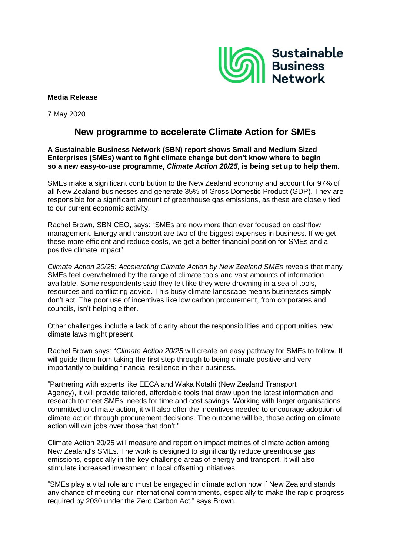

## **Media Release**

7 May 2020

## **New programme to accelerate Climate Action for SMEs**

## **A Sustainable Business Network (SBN) report shows Small and Medium Sized Enterprises (SMEs) want to fight climate change but don't know where to begin so a new easy-to-use programme,** *Climate Action 20/25***, is being set up to help them.**

SMEs make a significant contribution to the New Zealand economy and account for 97% of all New Zealand businesses and generate 35% of Gross Domestic Product (GDP). They are responsible for a significant amount of greenhouse gas emissions, as these are closely tied to our current economic activity.

Rachel Brown, SBN CEO, says: "SMEs are now more than ever focused on cashflow management. Energy and transport are two of the biggest expenses in business. If we get these more efficient and reduce costs, we get a better financial position for SMEs and a positive climate impact".

*Climate Action 20/25: Accelerating Climate Action by New Zealand SMEs* reveals that many SMEs feel overwhelmed by the range of climate tools and vast amounts of information available. Some respondents said they felt like they were drowning in a sea of tools, resources and conflicting advice. This busy climate landscape means businesses simply don't act. The poor use of incentives like low carbon procurement, from corporates and councils, isn't helping either.

Other challenges include a lack of clarity about the responsibilities and opportunities new climate laws might present.

Rachel Brown says: "*Climate Action 20/25* will create an easy pathway for SMEs to follow. It will guide them from taking the first step through to being climate positive and very importantly to building financial resilience in their business.

"Partnering with experts like EECA and Waka Kotahi (New Zealand Transport Agency), it will provide tailored, affordable tools that draw upon the latest information and research to meet SMEs' needs for time and cost savings. Working with larger organisations committed to climate action, it will also offer the incentives needed to encourage adoption of climate action through procurement decisions. The outcome will be, those acting on climate action will win jobs over those that don't."

Climate Action 20/25 will measure and report on impact metrics of climate action among New Zealand's SMEs. The work is designed to significantly reduce greenhouse gas emissions, especially in the key challenge areas of energy and transport. It will also stimulate increased investment in local offsetting initiatives.

"SMEs play a vital role and must be engaged in climate action now if New Zealand stands any chance of meeting our international commitments, especially to make the rapid progress required by 2030 under the Zero Carbon Act," says Brown.